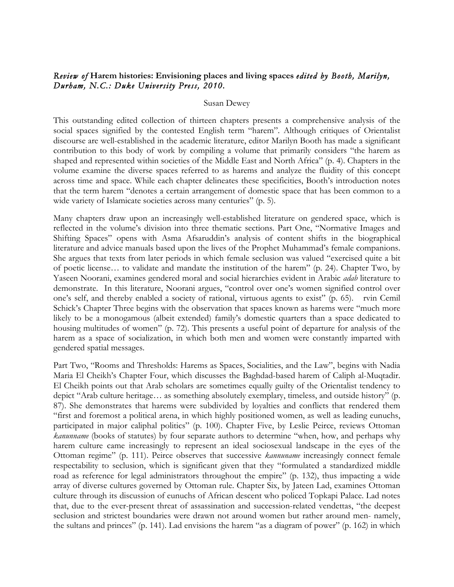## *Review of* **Harem histories: Envisioning places and living spaces** *edited by Booth, Marilyn, Durham, N.C.: Duke University Press, 2010.*

## Susan Dewey

This outstanding edited collection of thirteen chapters presents a comprehensive analysis of the social spaces signified by the contested English term "harem". Although critiques of Orientalist discourse are well-established in the academic literature, editor Marilyn Booth has made a significant contribution to this body of work by compiling a volume that primarily considers "the harem as shaped and represented within societies of the Middle East and North Africa" (p. 4). Chapters in the volume examine the diverse spaces referred to as harems and analyze the fluidity of this concept across time and space. While each chapter delineates these specificities, Booth's introduction notes that the term harem "denotes a certain arrangement of domestic space that has been common to a wide variety of Islamicate societies across many centuries" (p. 5).

Many chapters draw upon an increasingly well-established literature on gendered space, which is reflected in the volume's division into three thematic sections. Part One, "Normative Images and Shifting Spaces" opens with Asma Afsaruddin's analysis of content shifts in the biographical literature and advice manuals based upon the lives of the Prophet Muhammad's female companions. She argues that texts from later periods in which female seclusion was valued "exercised quite a bit of poetic license… to validate and mandate the institution of the harem" (p. 24). Chapter Two, by Yaseen Noorani, examines gendered moral and social hierarchies evident in Arabic *adab* literature to demonstrate. In this literature, Noorani argues, "control over one's women signified control over one's self, and thereby enabled a society of rational, virtuous agents to exist" (p. 65). rvin Cemil Schick's Chapter Three begins with the observation that spaces known as harems were "much more likely to be a monogamous (albeit extended) family's domestic quarters than a space dedicated to housing multitudes of women" (p. 72). This presents a useful point of departure for analysis of the harem as a space of socialization, in which both men and women were constantly imparted with gendered spatial messages.

Part Two, "Rooms and Thresholds: Harems as Spaces, Socialities, and the Law", begins with Nadia Maria El Cheikh's Chapter Four, which discusses the Baghdad-based harem of Caliph al-Muqtadir. El Cheikh points out that Arab scholars are sometimes equally guilty of the Orientalist tendency to depict "Arab culture heritage… as something absolutely exemplary, timeless, and outside history" (p. 87). She demonstrates that harems were subdivided by loyalties and conflicts that rendered them "first and foremost a political arena, in which highly positioned women, as well as leading eunuchs, participated in major caliphal politics" (p. 100). Chapter Five, by Leslie Peirce, reviews Ottoman *kanunname* (books of statutes) by four separate authors to determine "when, how, and perhaps why harem culture came increasingly to represent an ideal sociosexual landscape in the eyes of the Ottoman regime" (p. 111). Peirce observes that successive *kannuname* increasingly connect female respectability to seclusion, which is significant given that they "formulated a standardized middle road as reference for legal administrators throughout the empire" (p. 132), thus impacting a wide array of diverse cultures governed by Ottoman rule. Chapter Six, by Jateen Lad, examines Ottoman culture through its discussion of eunuchs of African descent who policed Topkapi Palace. Lad notes that, due to the ever-present threat of assassination and succession-related vendettas, "the deepest seclusion and strictest boundaries were drawn not around women but rather around men- namely, the sultans and princes" (p. 141). Lad envisions the harem "as a diagram of power" (p. 162) in which